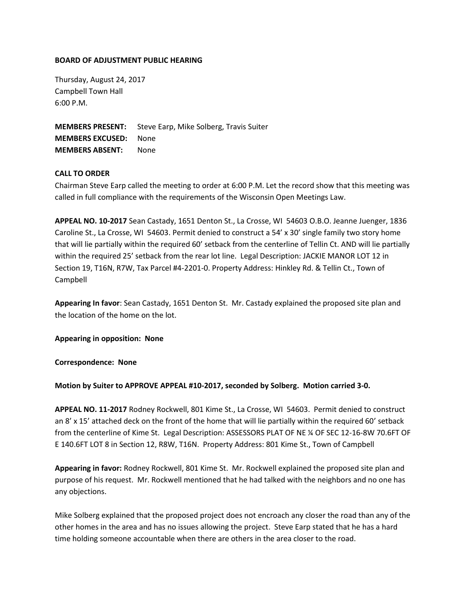## **BOARD OF ADJUSTMENT PUBLIC HEARING**

Thursday, August 24, 2017 Campbell Town Hall 6:00 P.M.

**MEMBERS PRESENT:** Steve Earp, Mike Solberg, Travis Suiter **MEMBERS EXCUSED:** None **MEMBERS ABSENT:** None

## **CALL TO ORDER**

Chairman Steve Earp called the meeting to order at 6:00 P.M. Let the record show that this meeting was called in full compliance with the requirements of the Wisconsin Open Meetings Law.

**APPEAL NO. 10-2017** Sean Castady, 1651 Denton St., La Crosse, WI 54603 O.B.O. Jeanne Juenger, 1836 Caroline St., La Crosse, WI 54603. Permit denied to construct a 54' x 30' single family two story home that will lie partially within the required 60' setback from the centerline of Tellin Ct. AND will lie partially within the required 25' setback from the rear lot line. Legal Description: JACKIE MANOR LOT 12 in Section 19, T16N, R7W, Tax Parcel #4-2201-0. Property Address: Hinkley Rd. & Tellin Ct., Town of Campbell

**Appearing In favor**: Sean Castady, 1651 Denton St. Mr. Castady explained the proposed site plan and the location of the home on the lot.

**Appearing in opposition: None**

**Correspondence: None**

**Motion by Suiter to APPROVE APPEAL #10-2017, seconded by Solberg. Motion carried 3-0.** 

**APPEAL NO. 11-2017** Rodney Rockwell, 801 Kime St., La Crosse, WI 54603. Permit denied to construct an 8' x 15' attached deck on the front of the home that will lie partially within the required 60' setback from the centerline of Kime St. Legal Description: ASSESSORS PLAT OF NE ¼ OF SEC 12-16-8W 70.6FT OF E 140.6FT LOT 8 in Section 12, R8W, T16N. Property Address: 801 Kime St., Town of Campbell

**Appearing in favor:** Rodney Rockwell, 801 Kime St. Mr. Rockwell explained the proposed site plan and purpose of his request. Mr. Rockwell mentioned that he had talked with the neighbors and no one has any objections.

Mike Solberg explained that the proposed project does not encroach any closer the road than any of the other homes in the area and has no issues allowing the project. Steve Earp stated that he has a hard time holding someone accountable when there are others in the area closer to the road.